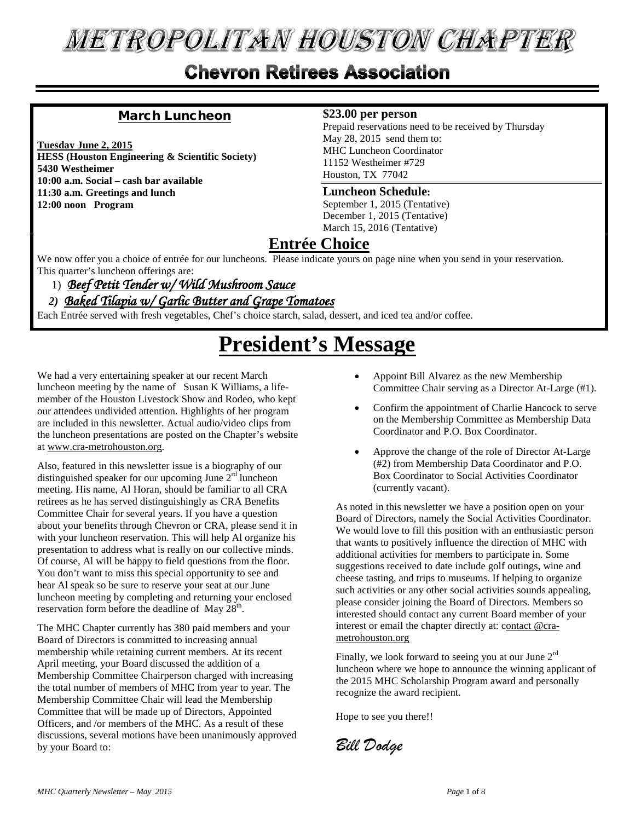# **METROPOLITAN HOUSTON CHAPTER**

### **Chevron Retirees Association**

### March Luncheon

**Tuesday June 2, 2015 HESS (Houston Engineering & Scientific Society) 5430 Westheimer 10:00 a.m. Social – cash bar available 11:30 a.m. Greetings and lunch 12:00 noon Program**

#### **\$23.00 per person**

Prepaid reservations need to be received by Thursday May 28, 2015 send them to: MHC Luncheon Coordinator 11152 Westheimer #729 Houston, TX 77042

#### **Luncheon Schedule:**

September 1, 2015 (Tentative) December 1, 2015 (Tentative) March 15, 2016 (Tentative)

### **Entrée Choice**

We now offer you a choice of entrée for our luncheons. Please indicate yours on page nine when you send in your reservation. This quarter's luncheon offerings are:

1)*Beef Petit Tender w/ Wild Mushroom Sauce*

### *2)**Baked Tilapia w/ Garlic Butter and Grape Tomatoes*

Each Entrée served with fresh vegetables, Chef's choice starch, salad, dessert, and iced tea and/or coffee.

# **President's Message**

We had a very entertaining speaker at our recent March luncheon meeting by the name of Susan K Williams, a lifemember of the Houston Livestock Show and Rodeo, who kept our attendees undivided attention. Highlights of her program are included in this newsletter. Actual audio/video clips from the luncheon presentations are posted on the Chapter's website at www.cra-metrohouston.org.

Also, featured in this newsletter issue is a biography of our distinguished speaker for our upcoming June  $2<sup>rd</sup>$  luncheon meeting. His name, Al Horan, should be familiar to all CRA retirees as he has served distinguishingly as CRA Benefits Committee Chair for several years. If you have a question about your benefits through Chevron or CRA, please send it in with your luncheon reservation. This will help Al organize his presentation to address what is really on our collective minds. Of course, Al will be happy to field questions from the floor. You don't want to miss this special opportunity to see and hear Al speak so be sure to reserve your seat at our June luncheon meeting by completing and returning your enclosed reservation form before the deadline of May 28<sup>th</sup>.

The MHC Chapter currently has 380 paid members and your Board of Directors is committed to increasing annual membership while retaining current members. At its recent April meeting, your Board discussed the addition of a Membership Committee Chairperson charged with increasing the total number of members of MHC from year to year. The Membership Committee Chair will lead the Membership Committee that will be made up of Directors, Appointed Officers, and /or members of the MHC. As a result of these discussions, several motions have been unanimously approved by your Board to:

- Appoint Bill Alvarez as the new Membership Committee Chair serving as a Director At-Large (#1).
- Confirm the appointment of Charlie Hancock to serve on the Membership Committee as Membership Data Coordinator and P.O. Box Coordinator.
- Approve the change of the role of Director At-Large (#2) from Membership Data Coordinator and P.O. Box Coordinator to Social Activities Coordinator (currently vacant).

As noted in this newsletter we have a position open on your Board of Directors, namely the Social Activities Coordinator. We would love to fill this position with an enthusiastic person that wants to positively influence the direction of MHC with additional activities for members to participate in. Some suggestions received to date include golf outings, wine and cheese tasting, and trips to museums. If helping to organize such activities or any other social activities sounds appealing, please consider joining the Board of Directors. Members so interested should contact any current Board member of your interest or email the chapter directly at: contact @crametrohouston.org

Finally, we look forward to seeing you at our June  $2<sup>rd</sup>$ luncheon where we hope to announce the winning applicant of the 2015 MHC Scholarship Program award and personally recognize the award recipient.

Hope to see you there!!

*Bill Dodge*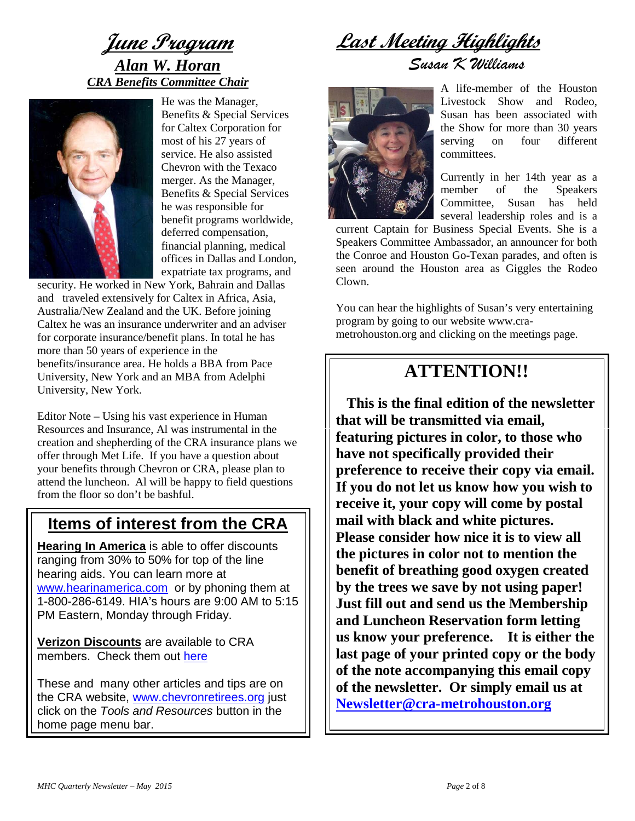

He was the Manager, Benefits & Special Services for Caltex Corporation for most of his 27 years of service. He also assisted Chevron with the Texaco merger. As the Manager, Benefits & Special Services he was responsible for benefit programs worldwide, deferred compensation, financial planning, medical offices in Dallas and London, expatriate tax programs, and

security. He worked in New York, Bahrain and Dallas and traveled extensively for Caltex in Africa, Asia, Australia/New Zealand and the UK. Before joining Caltex he was an insurance underwriter and an adviser for corporate insurance/benefit plans. In total he has more than 50 years of experience in the benefits/insurance area. He holds a BBA from Pace University, New York and an MBA from Adelphi University, New York.

Editor Note – Using his vast experience in Human Resources and Insurance, Al was instrumental in the creation and shepherding of the CRA insurance plans we offer through Met Life. If you have a question about your benefits through Chevron or CRA, please plan to attend the luncheon. Al will be happy to field questions from the floor so don't be bashful.

### **Items of interest from the CRA**

**Hearing In America** is able to offer discounts ranging from 30% to 50% for top of the line hearing aids. You can learn more at [www.hearinamerica.com](http://www.hearinamerica.com/) or by phoning them at 1-800-286-6149. HIA's hours are 9:00 AM to 5:15 PM Eastern, Monday through Friday.

**Verizon Discounts** are available to CRA members. Check them out [here](http://chevrec.mybigcommerce.com/products/Verizon-Wireless.html)

These and many other articles and tips are on the CRA website, [www.chevronretirees.org](http://www.chevronretirees.org/) just click on the *Tools and Resources* button in the home page menu bar.

**Last Meeting Highlights**

*Susan K Williams*



A life-member of the Houston Livestock Show and Rodeo, Susan has been associated with the Show for more than 30 years serving on four different committees.

Currently in her 14th year as a member of the Speakers Committee, Susan has held several leadership roles and is a

current Captain for Business Special Events. She is a Speakers Committee Ambassador, an announcer for both the Conroe and Houston Go-Texan parades, and often is seen around the Houston area as Giggles the Rodeo Clown.

You can hear the highlights of Susan's very entertaining program by going to our website [www.cra](http://www.cra-metrohouston.org/)[metrohouston.org](http://www.cra-metrohouston.org/) and clicking on the meetings page.

# **ATTENTION!!**

 **This is the final edition of the newsletter that will be transmitted via email, featuring pictures in color, to those who have not specifically provided their preference to receive their copy via email. If you do not let us know how you wish to receive it, your copy will come by postal mail with black and white pictures. Please consider how nice it is to view all the pictures in color not to mention the benefit of breathing good oxygen created by the trees we save by not using paper! Just fill out and send us the Membership and Luncheon Reservation form letting us know your preference. It is either the last page of your printed copy or the body of the note accompanying this email copy of the newsletter. Or simply email us at [Newsletter@cra-metrohouston.org](mailto:Newsletter@cra-metrohouston.org)**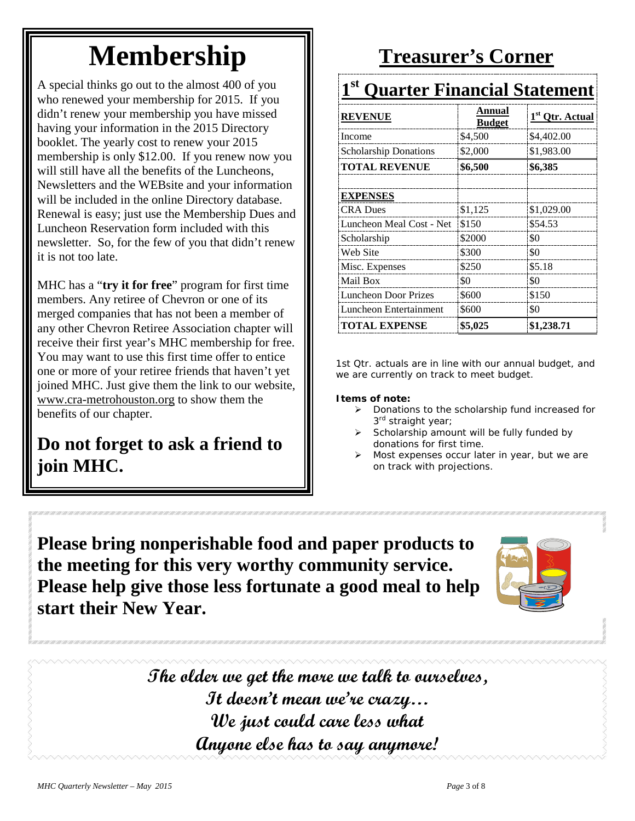# **Membership**

A special thinks go out to the almost 400 of you who renewed your membership for 2015. If you didn't renew your membership you have missed having your information in the 2015 Directory booklet. The yearly cost to renew your 2015 membership is only \$12.00. If you renew now you will still have all the benefits of the Luncheons, Newsletters and the WEBsite and your information will be included in the online Directory database. Renewal is easy; just use the Membership Dues and Luncheon Reservation form included with this newsletter. So, for the few of you that didn't renew it is not too late.

MHC has a "**try it for free**" program for first time members. Any retiree of Chevron or one of its merged companies that has not been a member of any other Chevron Retiree Association chapter will receive their first year's MHC membership for free. You may want to use this first time offer to entice one or more of your retiree friends that haven't yet joined MHC. Just give them the link to our website, [www.cra-metrohouston.org](http://www.cra-metrohouston.org/) to show them the benefits of our chapter.

# **Do not forget to ask a friend to join MHC.**

# **Treasurer's Corner**

# **1st Quarter Financial Statement**

| <b>REVENUE</b>               | Annual<br><b>Budget</b> | 1 <sup>st</sup> Qtr. Actual |
|------------------------------|-------------------------|-----------------------------|
| Income                       | \$4,500                 | \$4,402.00                  |
| <b>Scholarship Donations</b> | \$2,000                 | \$1,983.00                  |
| <b>TOTAL REVENUE</b>         | \$6,500                 | \$6,385                     |
|                              |                         |                             |
| <b>EXPENSES</b>              |                         |                             |
| <b>CRA Dues</b>              | \$1,125                 | \$1,029.00                  |
| Luncheon Meal Cost - Net     | \$150                   | \$54.53                     |
| Scholarship                  | \$2000                  | \$0                         |
| Web Site                     | \$300                   | \$0                         |
| Misc. Expenses               | \$250                   | \$5.18                      |
| Mail Box                     | \$0                     | \$0                         |
| <b>Luncheon Door Prizes</b>  | \$600                   | \$150                       |
| Luncheon Entertainment       | \$600                   | \$0                         |
| <b>TOTAL EXPENSE</b>         | \$5,025                 | \$1,238.71                  |

1st Qtr. actuals are in line with our annual budget, and we are currently on track to meet budget.

#### **Items of note:**

- $\triangleright$  Donations to the scholarship fund increased for 3<sup>rd</sup> straight year;
- Scholarship amount will be fully funded by donations for first time.
- Most expenses occur later in year, but we are on track with projections.

**Please bring nonperishable food and paper products to the meeting for this very worthy community service. Please help give those less fortunate a good meal to help start their New Year.**



**The older we get the more we talk to ourselves, It doesn't mean we're crazy… We just could care less what Anyone else has to say anymore!**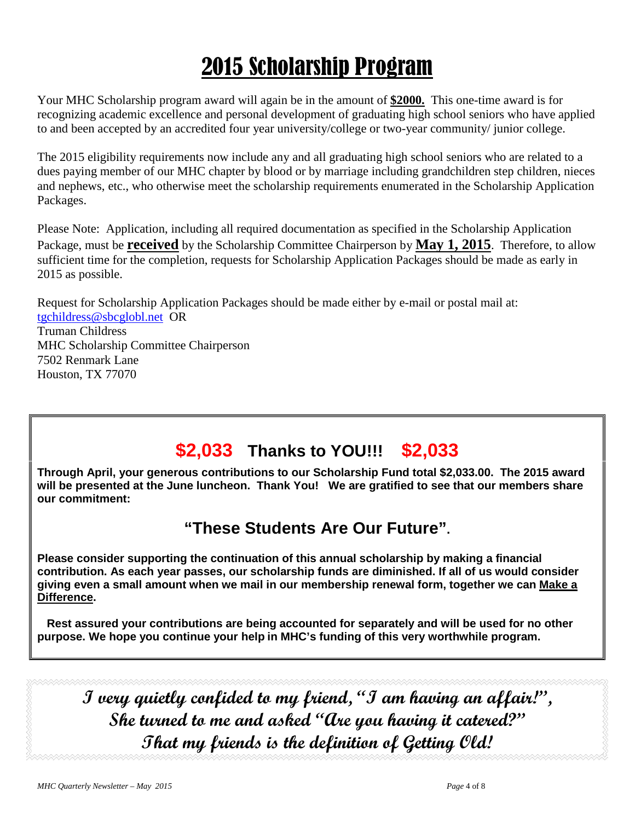# 2015 Scholarship Program

Your MHC Scholarship program award will again be in the amount of **\$2000.** This one-time award is for recognizing academic excellence and personal development of graduating high school seniors who have applied to and been accepted by an accredited four year university/college or two-year community/ junior college.

The 2015 eligibility requirements now include any and all graduating high school seniors who are related to a dues paying member of our MHC chapter by blood or by marriage including grandchildren step children, nieces and nephews, etc., who otherwise meet the scholarship requirements enumerated in the Scholarship Application Packages.

Please Note: Application, including all required documentation as specified in the Scholarship Application Package, must be **received** by the Scholarship Committee Chairperson by **May 1, 2015**. Therefore, to allow sufficient time for the completion, requests for Scholarship Application Packages should be made as early in 2015 as possible.

Request for Scholarship Application Packages should be made either by e-mail or postal mail at: [tgchildress@sbcglobl.net](mailto:tgchildress@sbcglobl.net) OR Truman Childress MHC Scholarship Committee Chairperson 7502 Renmark Lane Houston, TX 77070

# **\$2,033 Thanks to YOU!!! \$2,033**

**Through April, your generous contributions to our Scholarship Fund total \$2,033.00. The 2015 award will be presented at the June luncheon. Thank You! We are gratified to see that our members share our commitment:**

### **"These Students Are Our Future".**

**Please consider supporting the continuation of this annual scholarship by making a financial contribution. As each year passes, our scholarship funds are diminished. If all of us would consider giving even a small amount when we mail in our membership renewal form, together we can Make a Difference.**

 **Rest assured your contributions are being accounted for separately and will be used for no other purpose. We hope you continue your help in MHC's funding of this very worthwhile program.**

**I very quietly confided to my friend, "I am having an affair!", She turned to me and asked "Are you having it catered?" That my friends is the definition of Getting Old!**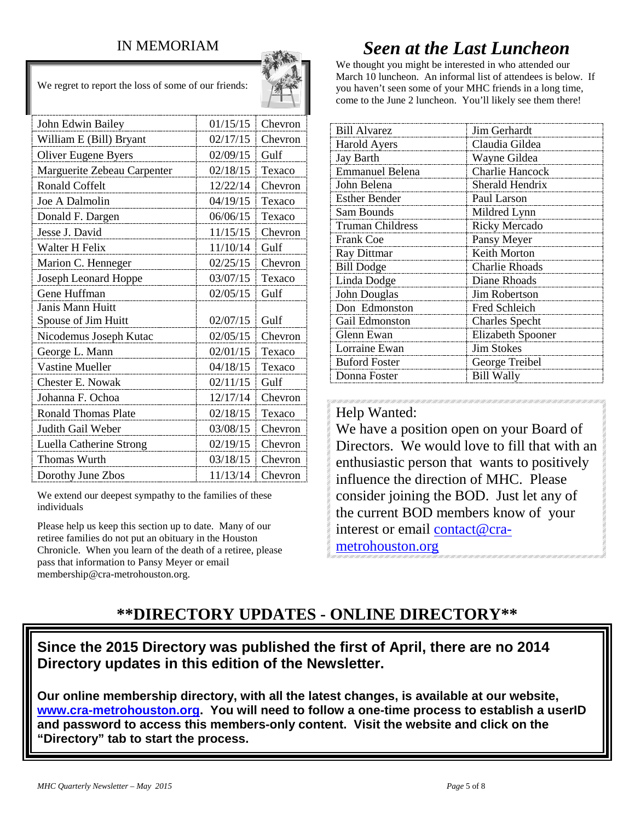### IN MEMORIAM

We regret to report the loss of some of our friends:



| John Edwin Bailey           | 01/15/15 | Chevron |
|-----------------------------|----------|---------|
| William E (Bill) Bryant     | 02/17/15 | Chevron |
| Oliver Eugene Byers         | 02/09/15 | Gulf    |
| Marguerite Zebeau Carpenter | 02/18/15 | Texaco  |
| Ronald Coffelt              | 12/22/14 | Chevron |
| Joe A Dalmolin              | 04/19/15 | Texaco  |
| Donald F. Dargen            | 06/06/15 | Texaco  |
| Jesse J. David              | 11/15/15 | Chevron |
| Walter H Felix              | 11/10/14 | Gulf    |
| Marion C. Henneger          | 02/25/15 | Chevron |
| Joseph Leonard Hoppe        | 03/07/15 | Texaco  |
| Gene Huffman                | 02/05/15 | Gulf    |
| Janis Mann Huitt            |          |         |
| Spouse of Jim Huitt         | 02/07/15 | Gulf    |
| Nicodemus Joseph Kutac      | 02/05/15 | Chevron |
| George L. Mann              | 02/01/15 | Texaco  |
| <b>Vastine Mueller</b>      | 04/18/15 | Texaco  |
| Chester E. Nowak            | 02/11/15 | Gulf    |
| Johanna F. Ochoa            | 12/17/14 | Chevron |
| <b>Ronald Thomas Plate</b>  | 02/18/15 | Texaco  |
| Judith Gail Weber           | 03/08/15 | Chevron |
| Luella Catherine Strong     | 02/19/15 | Chevron |
| Thomas Wurth                | 03/18/15 | Chevron |
| Dorothy June Zbos           | 11/13/14 | Chevron |

We extend our deepest sympathy to the families of these individuals

Please help us keep this section up to date. Many of our retiree families do not put an obituary in the Houston Chronicle. When you learn of the death of a retiree, please pass that information to Pansy Meyer or email membership@cra-metrohouston.org.

# *Seen at the Last Luncheon*

We thought you might be interested in who attended our March 10 luncheon. An informal list of attendees is below. If you haven't seen some of your MHC friends in a long time, come to the June 2 luncheon. You'll likely see them there!

| <b>Bill Alvarez</b>     | Jim Gerhardt             |  |
|-------------------------|--------------------------|--|
| <b>Harold Ayers</b>     | Claudia Gildea           |  |
| Jay Barth               | Wayne Gildea             |  |
| <b>Emmanuel Belena</b>  | <b>Charlie Hancock</b>   |  |
| John Belena             | Sherald Hendrix          |  |
| <b>Esther Bender</b>    | Paul Larson              |  |
| Sam Bounds              | Mildred Lynn             |  |
| <b>Truman Childress</b> | <b>Ricky Mercado</b>     |  |
| <b>Frank Coe</b>        | Pansy Meyer              |  |
| Ray Dittmar             | Keith Morton             |  |
| <b>Bill Dodge</b>       | <b>Charlie Rhoads</b>    |  |
| Linda Dodge             | Diane Rhoads             |  |
| John Douglas            | Jim Robertson            |  |
| Don Edmonston           | Fred Schleich            |  |
| Gail Edmonston          | <b>Charles Specht</b>    |  |
| Glenn Ewan              | <b>Elizabeth Spooner</b> |  |
| Lorraine Ewan           | <b>Jim Stokes</b>        |  |
| <b>Buford Foster</b>    | George Treibel           |  |
| Donna Foster            | <b>Bill Wally</b>        |  |

#### Help Wanted:

We have a position open on your Board of Directors. We would love to fill that with an enthusiastic person that wants to positively influence the direction of MHC. Please consider joining the BOD. Just let any of the current BOD members know of your interest or email [contact@cra](mailto:contact@cra-metrohouston.org)[metrohouston.org](mailto:contact@cra-metrohouston.org)

### **\*\*DIRECTORY UPDATES - ONLINE DIRECTORY\*\***

**Since the 2015 Directory was published the first of April, there are no 2014 Directory updates in this edition of the Newsletter.** 

**Our online membership directory, with all the latest changes, is available at our website, [www.cra-metrohouston.org.](http://www.cra-metrohouston.org/) You will need to follow a one-time process to establish a userID and password to access this members-only content. Visit the website and click on the "Directory" tab to start the process.**